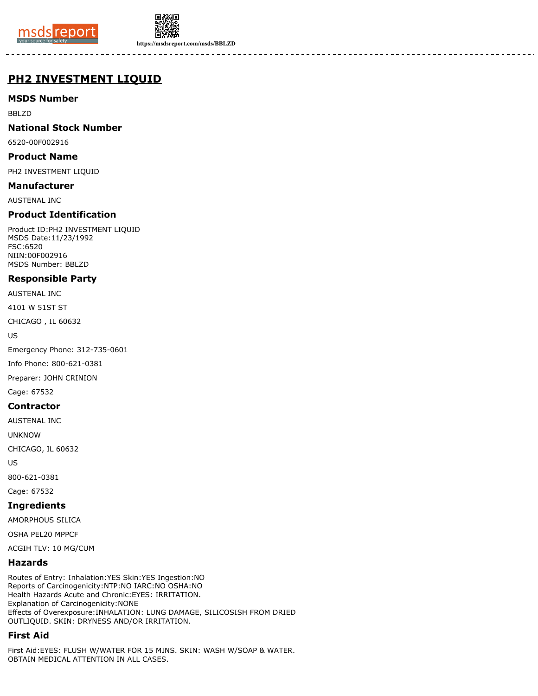



**https://msdsreport.com/msds/BBLZD**

## **PH2 INVESTMENT LIQUID**

## **MSDS Number**

BBLZD

## **National Stock Number**

6520-00F002916

#### **Product Name**

PH2 INVESTMENT LIQUID

#### **Manufacturer**

AUSTENAL INC

## **Product Identification**

Product ID:PH2 INVESTMENT LIQUID MSDS Date:11/23/1992 FSC:6520 NIIN:00F002916 MSDS Number: BBLZD

## **Responsible Party**

AUSTENAL INC

4101 W 51ST ST

CHICAGO , IL 60632

US

Emergency Phone: 312-735-0601

Info Phone: 800-621-0381

Preparer: JOHN CRINION

Cage: 67532

#### **Contractor**

AUSTENAL INC

UNKNOW

CHICAGO, IL 60632

US

800-621-0381 Cage: 67532

# **Ingredients**

AMORPHOUS SILICA

OSHA PEL20 MPPCF

ACGIH TLV: 10 MG/CUM

## **Hazards**

Routes of Entry: Inhalation:YES Skin:YES Ingestion:NO Reports of Carcinogenicity:NTP:NO IARC:NO OSHA:NO Health Hazards Acute and Chronic:EYES: IRRITATION. Explanation of Carcinogenicity:NONE Effects of Overexposure:INHALATION: LUNG DAMAGE, SILICOSISH FROM DRIED OUTLIQUID. SKIN: DRYNESS AND/OR IRRITATION.

## **First Aid**

First Aid:EYES: FLUSH W/WATER FOR 15 MINS. SKIN: WASH W/SOAP & WATER. OBTAIN MEDICAL ATTENTION IN ALL CASES.